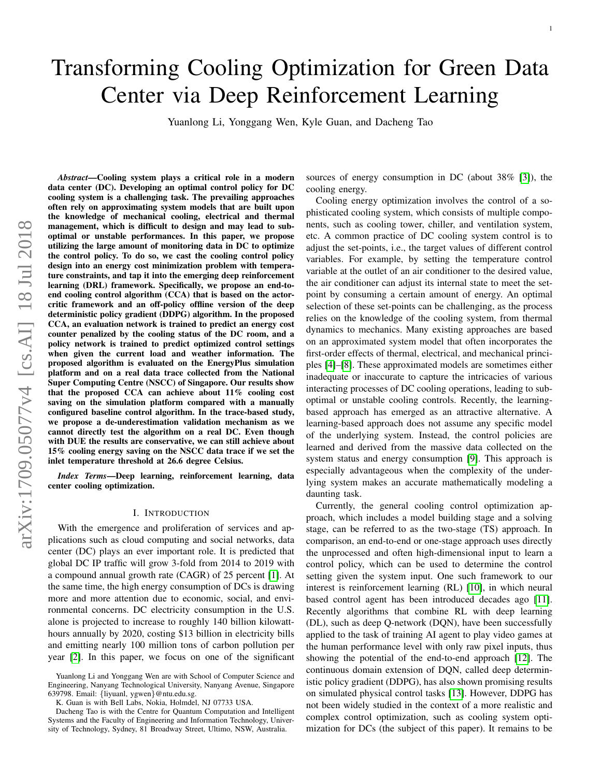# Transforming Cooling Optimization for Green Data Center via Deep Reinforcement Learning

Yuanlong Li, Yonggang Wen, Kyle Guan, and Dacheng Tao

*Abstract*—Cooling system plays a critical role in a modern data center (DC). Developing an optimal control policy for DC cooling system is a challenging task. The prevailing approaches often rely on approximating system models that are built upon the knowledge of mechanical cooling, electrical and thermal management, which is difficult to design and may lead to suboptimal or unstable performances. In this paper, we propose utilizing the large amount of monitoring data in DC to optimize the control policy. To do so, we cast the cooling control policy design into an energy cost minimization problem with temperature constraints, and tap it into the emerging deep reinforcement learning (DRL) framework. Specifically, we propose an end-toend cooling control algorithm (CCA) that is based on the actorcritic framework and an off-policy offline version of the deep deterministic policy gradient (DDPG) algorithm. In the proposed CCA, an evaluation network is trained to predict an energy cost counter penalized by the cooling status of the DC room, and a policy network is trained to predict optimized control settings when given the current load and weather information. The proposed algorithm is evaluated on the EnergyPlus simulation platform and on a real data trace collected from the National Super Computing Centre (NSCC) of Singapore. Our results show that the proposed CCA can achieve about 11% cooling cost saving on the simulation platform compared with a manually configured baseline control algorithm. In the trace-based study, we propose a de-underestimation validation mechanism as we cannot directly test the algorithm on a real DC. Even though with DUE the results are conservative, we can still achieve about 15% cooling energy saving on the NSCC data trace if we set the inlet temperature threshold at 26.6 degree Celsius.

*Index Terms*—Deep learning, reinforcement learning, data center cooling optimization.

#### I. INTRODUCTION

With the emergence and proliferation of services and applications such as cloud computing and social networks, data center (DC) plays an ever important role. It is predicted that global DC IP traffic will grow 3-fold from 2014 to 2019 with a compound annual growth rate (CAGR) of 25 percent [\[1\]](#page-9-0). At the same time, the high energy consumption of DCs is drawing more and more attention due to economic, social, and environmental concerns. DC electricity consumption in the U.S. alone is projected to increase to roughly 140 billion kilowatthours annually by 2020, costing \$13 billion in electricity bills and emitting nearly 100 million tons of carbon pollution per year [\[2\]](#page-9-1). In this paper, we focus on one of the significant sources of energy consumption in DC (about 38% [\[3\]](#page-9-2)), the cooling energy.

Cooling energy optimization involves the control of a sophisticated cooling system, which consists of multiple components, such as cooling tower, chiller, and ventilation system, etc. A common practice of DC cooling system control is to adjust the set-points, i.e., the target values of different control variables. For example, by setting the temperature control variable at the outlet of an air conditioner to the desired value, the air conditioner can adjust its internal state to meet the setpoint by consuming a certain amount of energy. An optimal selection of these set-points can be challenging, as the process relies on the knowledge of the cooling system, from thermal dynamics to mechanics. Many existing approaches are based on an approximated system model that often incorporates the first-order effects of thermal, electrical, and mechanical principles [\[4\]](#page-9-3)–[\[8\]](#page-9-4). These approximated models are sometimes either inadequate or inaccurate to capture the intricacies of various interacting processes of DC cooling operations, leading to suboptimal or unstable cooling controls. Recently, the learningbased approach has emerged as an attractive alternative. A learning-based approach does not assume any specific model of the underlying system. Instead, the control policies are learned and derived from the massive data collected on the system status and energy consumption [\[9\]](#page-9-5). This approach is especially advantageous when the complexity of the underlying system makes an accurate mathematically modeling a daunting task.

Currently, the general cooling control optimization approach, which includes a model building stage and a solving stage, can be referred to as the two-stage (TS) approach. In comparison, an end-to-end or one-stage approach uses directly the unprocessed and often high-dimensional input to learn a control policy, which can be used to determine the control setting given the system input. One such framework to our interest is reinforcement learning (RL) [\[10\]](#page-9-6), in which neural based control agent has been introduced decades ago [\[11\]](#page-9-7). Recently algorithms that combine RL with deep learning (DL), such as deep Q-network (DQN), have been successfully applied to the task of training AI agent to play video games at the human performance level with only raw pixel inputs, thus showing the potential of the end-to-end approach [\[12\]](#page-9-8). The continuous domain extension of DQN, called deep deterministic policy gradient (DDPG), has also shown promising results on simulated physical control tasks [\[13\]](#page-9-9). However, DDPG has not been widely studied in the context of a more realistic and complex control optimization, such as cooling system optimization for DCs (the subject of this paper). It remains to be

Yuanlong Li and Yonggang Wen are with School of Computer Science and Engineering, Nanyang Technological University, Nanyang Avenue, Singapore 639798. Email: {liyuanl, ygwen}@ntu.edu.sg.

K. Guan is with Bell Labs, Nokia, Holmdel, NJ 07733 USA.

Dacheng Tao is with the Centre for Quantum Computation and Intelligent Systems and the Faculty of Engineering and Information Technology, University of Technology, Sydney, 81 Broadway Street, Ultimo, NSW, Australia.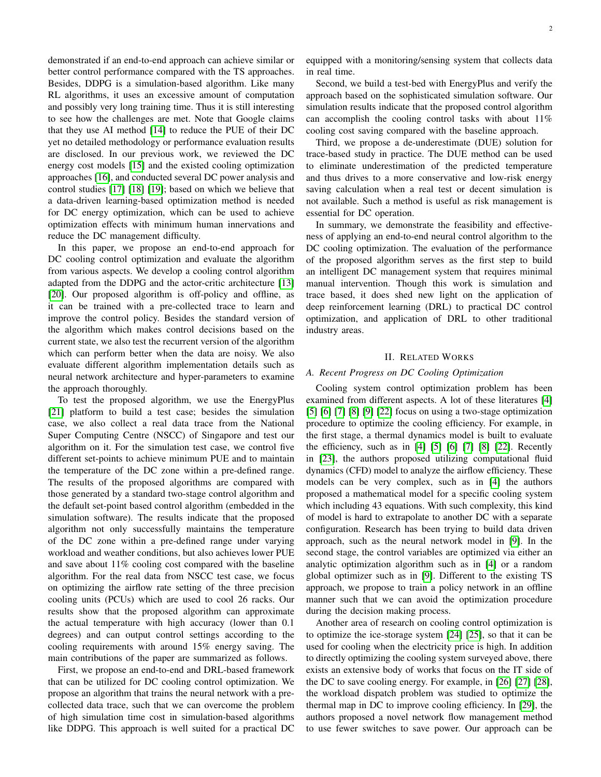demonstrated if an end-to-end approach can achieve similar or better control performance compared with the TS approaches. Besides, DDPG is a simulation-based algorithm. Like many RL algorithms, it uses an excessive amount of computation and possibly very long training time. Thus it is still interesting to see how the challenges are met. Note that Google claims that they use AI method [\[14\]](#page-9-10) to reduce the PUE of their DC yet no detailed methodology or performance evaluation results are disclosed. In our previous work, we reviewed the DC energy cost models [\[15\]](#page-9-11) and the existed cooling optimization approaches [\[16\]](#page-9-12), and conducted several DC power analysis and control studies [\[17\]](#page-9-13) [\[18\]](#page-9-14) [\[19\]](#page-9-15); based on which we believe that a data-driven learning-based optimization method is needed for DC energy optimization, which can be used to achieve optimization effects with minimum human innervations and reduce the DC management difficulty.

In this paper, we propose an end-to-end approach for DC cooling control optimization and evaluate the algorithm from various aspects. We develop a cooling control algorithm adapted from the DDPG and the actor-critic architecture [\[13\]](#page-9-9) [\[20\]](#page-9-16). Our proposed algorithm is off-policy and offline, as it can be trained with a pre-collected trace to learn and improve the control policy. Besides the standard version of the algorithm which makes control decisions based on the current state, we also test the recurrent version of the algorithm which can perform better when the data are noisy. We also evaluate different algorithm implementation details such as neural network architecture and hyper-parameters to examine the approach thoroughly.

To test the proposed algorithm, we use the EnergyPlus [\[21\]](#page-9-17) platform to build a test case; besides the simulation case, we also collect a real data trace from the National Super Computing Centre (NSCC) of Singapore and test our algorithm on it. For the simulation test case, we control five different set-points to achieve minimum PUE and to maintain the temperature of the DC zone within a pre-defined range. The results of the proposed algorithms are compared with those generated by a standard two-stage control algorithm and the default set-point based control algorithm (embedded in the simulation software). The results indicate that the proposed algorithm not only successfully maintains the temperature of the DC zone within a pre-defined range under varying workload and weather conditions, but also achieves lower PUE and save about 11% cooling cost compared with the baseline algorithm. For the real data from NSCC test case, we focus on optimizing the airflow rate setting of the three precision cooling units (PCUs) which are used to cool 26 racks. Our results show that the proposed algorithm can approximate the actual temperature with high accuracy (lower than 0.1 degrees) and can output control settings according to the cooling requirements with around 15% energy saving. The main contributions of the paper are summarized as follows.

First, we propose an end-to-end and DRL-based framework that can be utilized for DC cooling control optimization. We propose an algorithm that trains the neural network with a precollected data trace, such that we can overcome the problem of high simulation time cost in simulation-based algorithms like DDPG. This approach is well suited for a practical DC equipped with a monitoring/sensing system that collects data in real time.

Second, we build a test-bed with EnergyPlus and verify the approach based on the sophisticated simulation software. Our simulation results indicate that the proposed control algorithm can accomplish the cooling control tasks with about 11% cooling cost saving compared with the baseline approach.

Third, we propose a de-underestimate (DUE) solution for trace-based study in practice. The DUE method can be used to eliminate underestimation of the predicted temperature and thus drives to a more conservative and low-risk energy saving calculation when a real test or decent simulation is not available. Such a method is useful as risk management is essential for DC operation.

In summary, we demonstrate the feasibility and effectiveness of applying an end-to-end neural control algorithm to the DC cooling optimization. The evaluation of the performance of the proposed algorithm serves as the first step to build an intelligent DC management system that requires minimal manual intervention. Though this work is simulation and trace based, it does shed new light on the application of deep reinforcement learning (DRL) to practical DC control optimization, and application of DRL to other traditional industry areas.

# II. RELATED WORKS

# *A. Recent Progress on DC Cooling Optimization*

Cooling system control optimization problem has been examined from different aspects. A lot of these literatures [\[4\]](#page-9-3) [\[5\]](#page-9-18) [\[6\]](#page-9-19) [\[7\]](#page-9-20) [\[8\]](#page-9-4) [\[9\]](#page-9-5) [\[22\]](#page-9-21) focus on using a two-stage optimization procedure to optimize the cooling efficiency. For example, in the first stage, a thermal dynamics model is built to evaluate the efficiency, such as in [\[4\]](#page-9-3) [\[5\]](#page-9-18) [\[6\]](#page-9-19) [\[7\]](#page-9-20) [\[8\]](#page-9-4) [\[22\]](#page-9-21). Recently in [\[23\]](#page-9-22), the authors proposed utilizing computational fluid dynamics (CFD) model to analyze the airflow efficiency. These models can be very complex, such as in [\[4\]](#page-9-3) the authors proposed a mathematical model for a specific cooling system which including 43 equations. With such complexity, this kind of model is hard to extrapolate to another DC with a separate configuration. Research has been trying to build data driven approach, such as the neural network model in [\[9\]](#page-9-5). In the second stage, the control variables are optimized via either an analytic optimization algorithm such as in [\[4\]](#page-9-3) or a random global optimizer such as in [\[9\]](#page-9-5). Different to the existing TS approach, we propose to train a policy network in an offline manner such that we can avoid the optimization procedure during the decision making process.

Another area of research on cooling control optimization is to optimize the ice-storage system [\[24\]](#page-10-0) [\[25\]](#page-10-1), so that it can be used for cooling when the electricity price is high. In addition to directly optimizing the cooling system surveyed above, there exists an extensive body of works that focus on the IT side of the DC to save cooling energy. For example, in [\[26\]](#page-10-2) [\[27\]](#page-10-3) [\[28\]](#page-10-4), the workload dispatch problem was studied to optimize the thermal map in DC to improve cooling efficiency. In [\[29\]](#page-10-5), the authors proposed a novel network flow management method to use fewer switches to save power. Our approach can be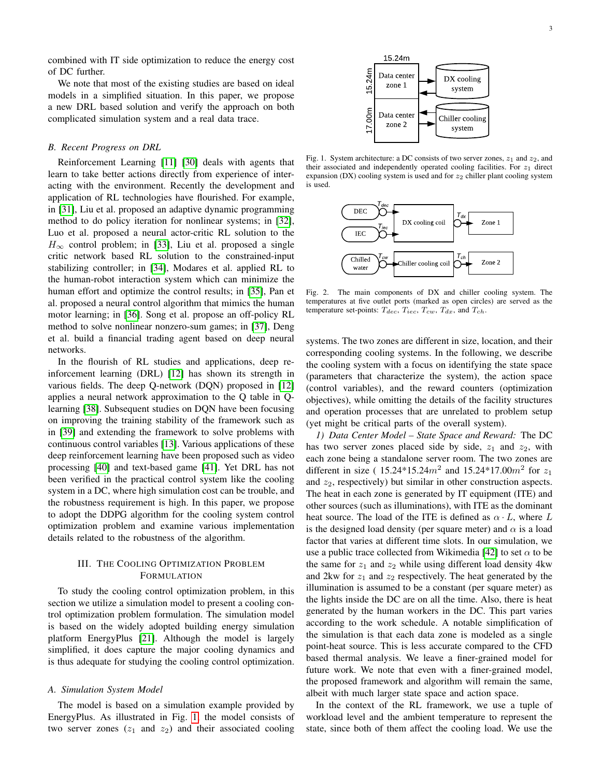combined with IT side optimization to reduce the energy cost of DC further.

We note that most of the existing studies are based on ideal models in a simplified situation. In this paper, we propose a new DRL based solution and verify the approach on both complicated simulation system and a real data trace.

#### *B. Recent Progress on DRL*

Reinforcement Learning [\[11\]](#page-9-7) [\[30\]](#page-10-6) deals with agents that learn to take better actions directly from experience of interacting with the environment. Recently the development and application of RL technologies have flourished. For example, in [\[31\]](#page-10-7), Liu et al. proposed an adaptive dynamic programming method to do policy iteration for nonlinear systems; in [\[32\]](#page-10-8), Luo et al. proposed a neural actor-critic RL solution to the  $H_{\infty}$  control problem; in [\[33\]](#page-10-9), Liu et al. proposed a single critic network based RL solution to the constrained-input stabilizing controller; in [\[34\]](#page-10-10), Modares et al. applied RL to the human-robot interaction system which can minimize the human effort and optimize the control results; in [\[35\]](#page-10-11), Pan et al. proposed a neural control algorithm that mimics the human motor learning; in [\[36\]](#page-10-12). Song et al. propose an off-policy RL method to solve nonlinear nonzero-sum games; in [\[37\]](#page-10-13), Deng et al. build a financial trading agent based on deep neural networks.

In the flourish of RL studies and applications, deep reinforcement learning (DRL) [\[12\]](#page-9-8) has shown its strength in various fields. The deep Q-network (DQN) proposed in [\[12\]](#page-9-8) applies a neural network approximation to the Q table in Qlearning [\[38\]](#page-10-14). Subsequent studies on DQN have been focusing on improving the training stability of the framework such as in [\[39\]](#page-10-15) and extending the framework to solve problems with continuous control variables [\[13\]](#page-9-9). Various applications of these deep reinforcement learning have been proposed such as video processing [\[40\]](#page-10-16) and text-based game [\[41\]](#page-10-17). Yet DRL has not been verified in the practical control system like the cooling system in a DC, where high simulation cost can be trouble, and the robustness requirement is high. In this paper, we propose to adopt the DDPG algorithm for the cooling system control optimization problem and examine various implementation details related to the robustness of the algorithm.

# III. THE COOLING OPTIMIZATION PROBLEM FORMULATION

To study the cooling control optimization problem, in this section we utilize a simulation model to present a cooling control optimization problem formulation. The simulation model is based on the widely adopted building energy simulation platform EnergyPlus [\[21\]](#page-9-17). Although the model is largely simplified, it does capture the major cooling dynamics and is thus adequate for studying the cooling control optimization.

### <span id="page-2-2"></span>*A. Simulation System Model*

The model is based on a simulation example provided by EnergyPlus. As illustrated in Fig. [1,](#page-2-0) the model consists of two server zones  $(z_1 \text{ and } z_2)$  and their associated cooling <span id="page-2-0"></span>3



Fig. 1. System architecture: a DC consists of two server zones,  $z_1$  and  $z_2$ , and their associated and independently operated cooling facilities. For  $z_1$  direct expansion (DX) cooling system is used and for  $z_2$  chiller plant cooling system is used.

<span id="page-2-1"></span>

Fig. 2. The main components of DX and chiller cooling system. The temperatures at five outlet ports (marked as open circles) are served as the temperature set-points:  $T_{dec}$ ,  $T_{iec}$ ,  $T_{cw}$ ,  $T_{dx}$ , and  $T_{ch}$ .

systems. The two zones are different in size, location, and their corresponding cooling systems. In the following, we describe the cooling system with a focus on identifying the state space (parameters that characterize the system), the action space (control variables), and the reward counters (optimization objectives), while omitting the details of the facility structures and operation processes that are unrelated to problem setup (yet might be critical parts of the overall system).

*1) Data Center Model – State Space and Reward:* The DC has two server zones placed side by side,  $z_1$  and  $z_2$ , with each zone being a standalone server room. The two zones are different in size (15.24\*15.24 $m^2$  and 15.24\*17.00 $m^2$  for  $z_1$ and  $z_2$ , respectively) but similar in other construction aspects. The heat in each zone is generated by IT equipment (ITE) and other sources (such as illuminations), with ITE as the dominant heat source. The load of the ITE is defined as  $\alpha \cdot L$ , where L is the designed load density (per square meter) and  $\alpha$  is a load factor that varies at different time slots. In our simulation, we use a public trace collected from Wikimedia [\[42\]](#page-10-18) to set  $\alpha$  to be the same for  $z_1$  and  $z_2$  while using different load density 4kw and 2kw for  $z_1$  and  $z_2$  respectively. The heat generated by the illumination is assumed to be a constant (per square meter) as the lights inside the DC are on all the time. Also, there is heat generated by the human workers in the DC. This part varies according to the work schedule. A notable simplification of the simulation is that each data zone is modeled as a single point-heat source. This is less accurate compared to the CFD based thermal analysis. We leave a finer-grained model for future work. We note that even with a finer-grained model, the proposed framework and algorithm will remain the same, albeit with much larger state space and action space.

In the context of the RL framework, we use a tuple of workload level and the ambient temperature to represent the state, since both of them affect the cooling load. We use the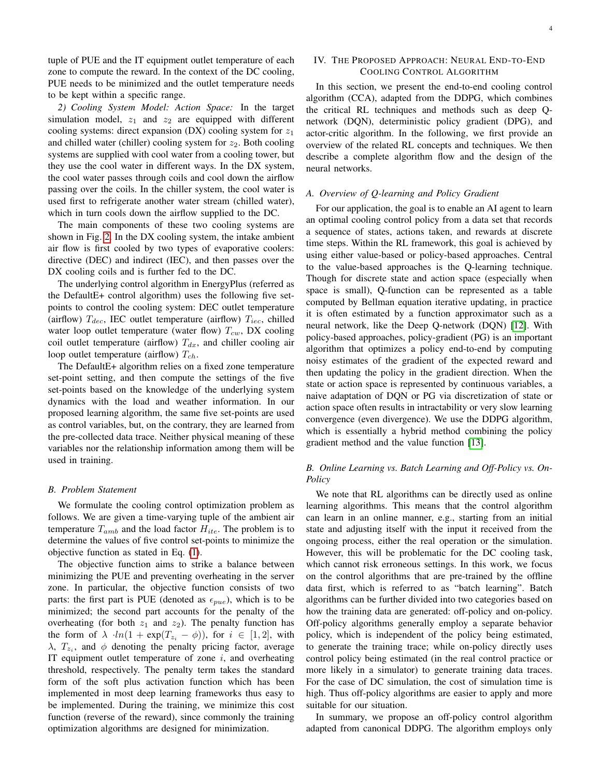tuple of PUE and the IT equipment outlet temperature of each zone to compute the reward. In the context of the DC cooling, PUE needs to be minimized and the outlet temperature needs to be kept within a specific range.

*2) Cooling System Model: Action Space:* In the target simulation model,  $z_1$  and  $z_2$  are equipped with different cooling systems: direct expansion (DX) cooling system for  $z_1$ and chilled water (chiller) cooling system for  $z_2$ . Both cooling systems are supplied with cool water from a cooling tower, but they use the cool water in different ways. In the DX system, the cool water passes through coils and cool down the airflow passing over the coils. In the chiller system, the cool water is used first to refrigerate another water stream (chilled water), which in turn cools down the airflow supplied to the DC.

The main components of these two cooling systems are shown in Fig. [2.](#page-2-1) In the DX cooling system, the intake ambient air flow is first cooled by two types of evaporative coolers: directive (DEC) and indirect (IEC), and then passes over the DX cooling coils and is further fed to the DC.

The underlying control algorithm in EnergyPlus (referred as the DefaultE+ control algorithm) uses the following five setpoints to control the cooling system: DEC outlet temperature (airflow)  $T_{dec}$ , IEC outlet temperature (airflow)  $T_{iec}$ , chilled water loop outlet temperature (water flow)  $T_{cw}$ , DX cooling coil outlet temperature (airflow)  $T_{dx}$ , and chiller cooling air loop outlet temperature (airflow)  $T_{ch}$ .

The DefaultE+ algorithm relies on a fixed zone temperature set-point setting, and then compute the settings of the five set-points based on the knowledge of the underlying system dynamics with the load and weather information. In our proposed learning algorithm, the same five set-points are used as control variables, but, on the contrary, they are learned from the pre-collected data trace. Neither physical meaning of these variables nor the relationship information among them will be used in training.

#### *B. Problem Statement*

We formulate the cooling control optimization problem as follows. We are given a time-varying tuple of the ambient air temperature  $T_{amb}$  and the load factor  $H_{ite}$ . The problem is to determine the values of five control set-points to minimize the objective function as stated in Eq. [\(1\)](#page-4-0).

The objective function aims to strike a balance between minimizing the PUE and preventing overheating in the server zone. In particular, the objective function consists of two parts: the first part is PUE (denoted as  $\epsilon_{\text{pue}}$ ), which is to be minimized; the second part accounts for the penalty of the overheating (for both  $z_1$  and  $z_2$ ). The penalty function has the form of  $\lambda \cdot ln(1 + \exp(T_{z_i} - \phi))$ , for  $i \in [1, 2]$ , with  $\lambda$ ,  $T_{z_i}$ , and  $\phi$  denoting the penalty pricing factor, average IT equipment outlet temperature of zone  $i$ , and overheating threshold, respectively. The penalty term takes the standard form of the soft plus activation function which has been implemented in most deep learning frameworks thus easy to be implemented. During the training, we minimize this cost function (reverse of the reward), since commonly the training optimization algorithms are designed for minimization.

# IV. THE PROPOSED APPROACH: NEURAL END-TO-END COOLING CONTROL ALGORITHM

In this section, we present the end-to-end cooling control algorithm (CCA), adapted from the DDPG, which combines the critical RL techniques and methods such as deep Qnetwork (DQN), deterministic policy gradient (DPG), and actor-critic algorithm. In the following, we first provide an overview of the related RL concepts and techniques. We then describe a complete algorithm flow and the design of the neural networks.

#### *A. Overview of Q-learning and Policy Gradient*

For our application, the goal is to enable an AI agent to learn an optimal cooling control policy from a data set that records a sequence of states, actions taken, and rewards at discrete time steps. Within the RL framework, this goal is achieved by using either value-based or policy-based approaches. Central to the value-based approaches is the Q-learning technique. Though for discrete state and action space (especially when space is small), Q-function can be represented as a table computed by Bellman equation iterative updating, in practice it is often estimated by a function approximator such as a neural network, like the Deep Q-network (DQN) [\[12\]](#page-9-8). With policy-based approaches, policy-gradient (PG) is an important algorithm that optimizes a policy end-to-end by computing noisy estimates of the gradient of the expected reward and then updating the policy in the gradient direction. When the state or action space is represented by continuous variables, a naive adaptation of DQN or PG via discretization of state or action space often results in intractability or very slow learning convergence (even divergence). We use the DDPG algorithm, which is essentially a hybrid method combining the policy gradient method and the value function [\[13\]](#page-9-9).

# *B. Online Learning vs. Batch Learning and Off-Policy vs. On-Policy*

We note that RL algorithms can be directly used as online learning algorithms. This means that the control algorithm can learn in an online manner, e.g., starting from an initial state and adjusting itself with the input it received from the ongoing process, either the real operation or the simulation. However, this will be problematic for the DC cooling task, which cannot risk erroneous settings. In this work, we focus on the control algorithms that are pre-trained by the offline data first, which is referred to as "batch learning". Batch algorithms can be further divided into two categories based on how the training data are generated: off-policy and on-policy. Off-policy algorithms generally employ a separate behavior policy, which is independent of the policy being estimated, to generate the training trace; while on-policy directly uses control policy being estimated (in the real control practice or more likely in a simulator) to generate training data traces. For the case of DC simulation, the cost of simulation time is high. Thus off-policy algorithms are easier to apply and more suitable for our situation.

In summary, we propose an off-policy control algorithm adapted from canonical DDPG. The algorithm employs only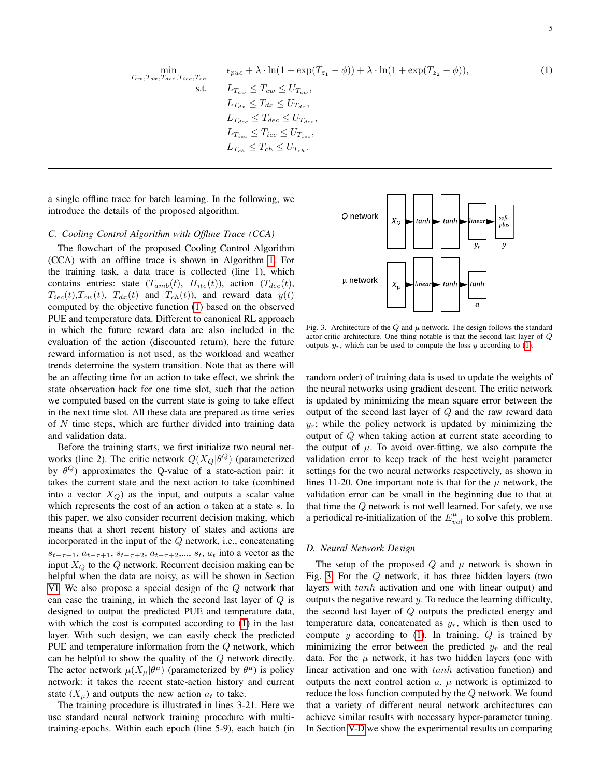<span id="page-4-0"></span>
$$
\min_{T_{cw}, T_{dx}, T_{dec}, T_{iec}, T_{ch}} \epsilon_{pue} + \lambda \cdot \ln(1 + \exp(T_{z_1} - \phi)) + \lambda \cdot \ln(1 + \exp(T_{z_2} - \phi)),
$$
\n
$$
\text{s.t.} \qquad L_{T_{cw}} \leq T_{cw} \leq U_{T_{cw}},
$$
\n
$$
L_{T_{dc}} \leq T_{dx} \leq U_{T_{dx}},
$$
\n
$$
L_{T_{dec}} \leq T_{dec} \leq U_{T_{dec}},
$$
\n
$$
L_{T_{ic}} \leq T_{iec} \leq U_{T_{ice}},
$$
\n
$$
L_{T_{ch}} \leq T_{ch} \leq U_{T_{ch}}.
$$
\n(1)

a single offline trace for batch learning. In the following, we introduce the details of the proposed algorithm.

## *C. Cooling Control Algorithm with Offline Trace (CCA)*

The flowchart of the proposed Cooling Control Algorithm (CCA) with an offline trace is shown in Algorithm [1.](#page-5-0) For the training task, a data trace is collected (line 1), which contains entries: state  $(T_{amb}(t), H_{ite}(t))$ , action  $(T_{dec}(t),$  $T_{iec}(t)$ ,  $T_{cw}(t)$ ,  $T_{dx}(t)$  and  $T_{ch}(t)$ ), and reward data  $y(t)$ computed by the objective function [\(1\)](#page-4-0) based on the observed PUE and temperature data. Different to canonical RL approach in which the future reward data are also included in the evaluation of the action (discounted return), here the future reward information is not used, as the workload and weather trends determine the system transition. Note that as there will be an affecting time for an action to take effect, we shrink the state observation back for one time slot, such that the action we computed based on the current state is going to take effect in the next time slot. All these data are prepared as time series of N time steps, which are further divided into training data and validation data.

Before the training starts, we first initialize two neural networks (line 2). The critic network  $Q(X_Q|\theta^Q)$  (parameterized by  $\theta^Q$ ) approximates the Q-value of a state-action pair: it takes the current state and the next action to take (combined into a vector  $X_Q$ ) as the input, and outputs a scalar value which represents the cost of an action  $a$  taken at a state  $s$ . In this paper, we also consider recurrent decision making, which means that a short recent history of states and actions are incorporated in the input of the Q network, i.e., concatenating  $s_{t-\tau+1}, a_{t-\tau+1}, s_{t-\tau+2}, a_{t-\tau+2},..., s_t, a_t$  into a vector as the input  $X_Q$  to the  $Q$  network. Recurrent decision making can be helpful when the data are noisy, as will be shown in Section [VI.](#page-7-0) We also propose a special design of the Q network that can ease the training, in which the second last layer of  $Q$  is designed to output the predicted PUE and temperature data, with which the cost is computed according to [\(1\)](#page-4-0) in the last layer. With such design, we can easily check the predicted PUE and temperature information from the Q network, which can be helpful to show the quality of the  $Q$  network directly. The actor network  $\mu(X_\mu|\theta^\mu)$  (parameterized by  $\theta^\mu$ ) is policy network: it takes the recent state-action history and current state  $(X_u)$  and outputs the new action  $a_t$  to take.

The training procedure is illustrated in lines 3-21. Here we use standard neural network training procedure with multitraining-epochs. Within each epoch (line 5-9), each batch (in



<span id="page-4-1"></span>Fig. 3. Architecture of the Q and  $\mu$  network. The design follows the standard actor-critic architecture. One thing notable is that the second last layer of Q outputs  $y_r$ , which can be used to compute the loss y according to [\(1\)](#page-4-0).

random order) of training data is used to update the weights of the neural networks using gradient descent. The critic network is updated by minimizing the mean square error between the output of the second last layer of Q and the raw reward data  $y_r$ ; while the policy network is updated by minimizing the output of Q when taking action at current state according to the output of  $\mu$ . To avoid over-fitting, we also compute the validation error to keep track of the best weight parameter settings for the two neural networks respectively, as shown in lines 11-20. One important note is that for the  $\mu$  network, the validation error can be small in the beginning due to that at that time the  $Q$  network is not well learned. For safety, we use a periodical re-initialization of the  $E_{val}^{\mu}$  to solve this problem.

#### <span id="page-4-2"></span>*D. Neural Network Design*

The setup of the proposed Q and  $\mu$  network is shown in Fig. [3.](#page-4-1) For the  $Q$  network, it has three hidden layers (two layers with tanh activation and one with linear output) and outputs the negative reward  $y$ . To reduce the learning difficulty, the second last layer of Q outputs the predicted energy and temperature data, concatenated as  $y_r$ , which is then used to compute y according to  $(1)$ . In training,  $Q$  is trained by minimizing the error between the predicted  $y_r$  and the real data. For the  $\mu$  network, it has two hidden layers (one with linear activation and one with tanh activation function) and outputs the next control action  $a$ .  $\mu$  network is optimized to reduce the loss function computed by the Q network. We found that a variety of different neural network architectures can achieve similar results with necessary hyper-parameter tuning. In Section [V-D](#page-6-0) we show the experimental results on comparing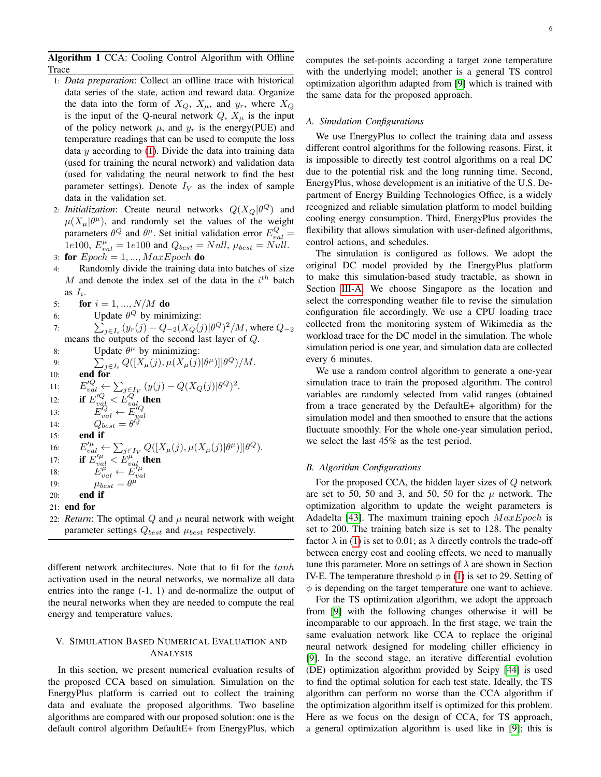Algorithm 1 CCA: Cooling Control Algorithm with Offline Trace

- <span id="page-5-0"></span>1: *Data preparation*: Collect an offline trace with historical data series of the state, action and reward data. Organize the data into the form of  $X_Q$ ,  $X_\mu$ , and  $y_r$ , where  $X_Q$ is the input of the Q-neural network  $Q$ ,  $X_\mu$  is the input of the policy network  $\mu$ , and  $y_r$  is the energy(PUE) and temperature readings that can be used to compute the loss data  $y$  according to  $(1)$ . Divide the data into training data (used for training the neural network) and validation data (used for validating the neural network to find the best parameter settings). Denote  $I_V$  as the index of sample data in the validation set.
- 2: *Initialization*: Create neural networks  $Q(X_Q | \theta^Q)$  and  $\mu(X_\mu|\theta^\mu)$ , and randomly set the values of the weight parameters  $\theta^Q$  and  $\theta^{\mu}$ . Set initial validation error  $E_{val}^Q =$ 1e100,  $E_{val}^{\mu} = 1e100$  and  $Q_{best} = Null$ ,  $\mu_{best} = Null$ . 3: for  $Epoch = 1, ..., MaxEpoch$  do
- 4: Randomly divide the training data into batches of size M and denote the index set of the data in the  $i<sup>th</sup>$  batch as  $I_i$ .

5: **for** 
$$
i = 1, ..., N/M
$$
 **do**

- 6: Update  $\theta^Q$  by minimizing:
- 7:  $\sum_{j \in I_i} (y_r(j) Q_{-2}(X_Q(j)|\theta^Q)^2/M$ , where  $Q_{-2}$ means the outputs of the second last layer of Q.
- 8: Update  $\theta^{\mu}$  by minimizing:

9: 
$$
\sum_{j\in I_i} Q([X_{\mu}(j), \mu(X_{\mu}(j)|\theta^{\mu})]|\theta^Q)/M.
$$
  
\n10: **end for**  
\n11: 
$$
E_{val}^{'Q} \leftarrow \sum_{j\in I_V} (y(j) - Q(X_Q(j)|\theta^Q)^2.
$$
  
\n12: **if** 
$$
E_{val}^{'Q} \leftarrow E_{val}^{'Q}
$$
  
\n13: 
$$
E_{val}^Q \leftarrow E_{val}^{'Q}
$$
  
\n14: 
$$
Q_{best} = \theta^Q
$$
  
\n15: **end if**  
\n16: 
$$
E_{val}^{'\mu} \leftarrow \sum_{j\in I_V} Q([X_{\mu}(j), \mu(X_{\mu}(j)|\theta^{\mu})]|\theta^Q).
$$
  
\n17: **if** 
$$
E_{val}^{'\mu} \leftarrow E_{val}^{\mu}
$$
  
\n18: 
$$
E_{val}^{\mu} \leftarrow E_{val}^{\mu}
$$
  
\n19: 
$$
\mu_{best} = \theta^{\mu}
$$
  
\n20: **end if**  
\n21: **end for**  
\n22: *Return*: The optimal Q and  $\mu$  neural network with

weight parameter settings  $Q_{best}$  and  $\mu_{best}$  respectively.

different network architectures. Note that to fit for the tanh activation used in the neural networks, we normalize all data entries into the range (-1, 1) and de-normalize the output of the neural networks when they are needed to compute the real energy and temperature values.

# V. SIMULATION BASED NUMERICAL EVALUATION AND ANALYSIS

In this section, we present numerical evaluation results of the proposed CCA based on simulation. Simulation on the EnergyPlus platform is carried out to collect the training data and evaluate the proposed algorithms. Two baseline algorithms are compared with our proposed solution: one is the default control algorithm DefaultE+ from EnergyPlus, which computes the set-points according a target zone temperature with the underlying model; another is a general TS control optimization algorithm adapted from [\[9\]](#page-9-5) which is trained with the same data for the proposed approach.

#### *A. Simulation Configurations*

We use EnergyPlus to collect the training data and assess different control algorithms for the following reasons. First, it is impossible to directly test control algorithms on a real DC due to the potential risk and the long running time. Second, EnergyPlus, whose development is an initiative of the U.S. Department of Energy Building Technologies Office, is a widely recognized and reliable simulation platform to model building cooling energy consumption. Third, EnergyPlus provides the flexibility that allows simulation with user-defined algorithms, control actions, and schedules.

The simulation is configured as follows. We adopt the original DC model provided by the EnergyPlus platform to make this simulation-based study tractable, as shown in Section [III-A.](#page-2-2) We choose Singapore as the location and select the corresponding weather file to revise the simulation configuration file accordingly. We use a CPU loading trace collected from the monitoring system of Wikimedia as the workload trace for the DC model in the simulation. The whole simulation period is one year, and simulation data are collected every 6 minutes.

We use a random control algorithm to generate a one-year simulation trace to train the proposed algorithm. The control variables are randomly selected from valid ranges (obtained from a trace generated by the DefaultE+ algorithm) for the simulation model and then smoothed to ensure that the actions fluctuate smoothly. For the whole one-year simulation period, we select the last 45% as the test period.

## *B. Algorithm Configurations*

For the proposed CCA, the hidden layer sizes of Q network are set to 50, 50 and 3, and 50, 50 for the  $\mu$  network. The optimization algorithm to update the weight parameters is Adadelta [\[43\]](#page-10-19). The maximum training epoch  $MaxEpoch$  is set to 200. The training batch size is set to 128. The penalty factor  $\lambda$  in [\(1\)](#page-4-0) is set to 0.01; as  $\lambda$  directly controls the trade-off between energy cost and cooling effects, we need to manually tune this parameter. More on settings of  $\lambda$  are shown in Section IV-E. The temperature threshold  $\phi$  in [\(1\)](#page-4-0) is set to 29. Setting of  $\phi$  is depending on the target temperature one want to achieve.

For the TS optimization algorithm, we adopt the approach from [\[9\]](#page-9-5) with the following changes otherwise it will be incomparable to our approach. In the first stage, we train the same evaluation network like CCA to replace the original neural network designed for modeling chiller efficiency in [\[9\]](#page-9-5). In the second stage, an iterative differential evolution (DE) optimization algorithm provided by Scipy [\[44\]](#page-10-20) is used to find the optimal solution for each test state. Ideally, the TS algorithm can perform no worse than the CCA algorithm if the optimization algorithm itself is optimized for this problem. Here as we focus on the design of CCA, for TS approach, a general optimization algorithm is used like in [\[9\]](#page-9-5); this is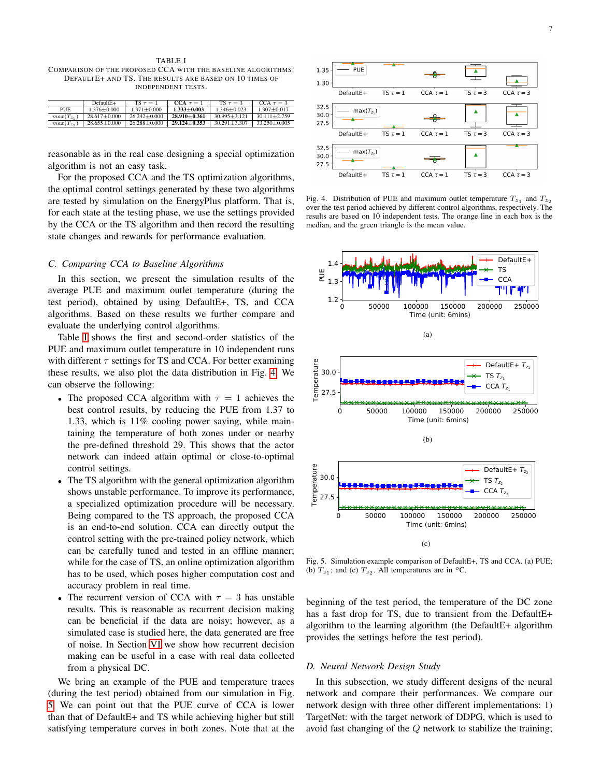<span id="page-6-1"></span>TABLE I COMPARISON OF THE PROPOSED CCA WITH THE BASELINE ALGORITHMS: DEFAULTE+ AND TS. THE RESULTS ARE BASED ON 10 TIMES OF INDEPENDENT TESTS.

|                | $DefaultE+$        | $TS \tau = 1$    | $CCA \tau = 1$   | TS $\tau = 3$    | CCA $\tau = 3$   |
|----------------|--------------------|------------------|------------------|------------------|------------------|
| <b>PUE</b>     | $1,376 + 0,000$    | $1.371 + 0.000$  | $1.333 + 0.003$  | $1,346+0.023$    | $1.307 + 0.017$  |
| $max(T_{z_1})$ | $28.617 \pm 0.000$ | $26.242 + 0.000$ | $28.910 + 0.361$ | $30.995 + 3.121$ | $30.111 + 2.759$ |
| $max(T_{z_2})$ | $28.655 \pm 0.000$ | $26.288 + 0.000$ | $29.124 + 0.353$ | $30.291 + 3.307$ | $33.250 + 0.005$ |

reasonable as in the real case designing a special optimization algorithm is not an easy task.

For the proposed CCA and the TS optimization algorithms, the optimal control settings generated by these two algorithms are tested by simulation on the EnergyPlus platform. That is, for each state at the testing phase, we use the settings provided by the CCA or the TS algorithm and then record the resulting state changes and rewards for performance evaluation.

# *C. Comparing CCA to Baseline Algorithms*

In this section, we present the simulation results of the average PUE and maximum outlet temperature (during the test period), obtained by using DefaultE+, TS, and CCA algorithms. Based on these results we further compare and evaluate the underlying control algorithms.

Table [I](#page-6-1) shows the first and second-order statistics of the PUE and maximum outlet temperature in 10 independent runs with different  $\tau$  settings for TS and CCA. For better examining these results, we also plot the data distribution in Fig. [4.](#page-6-2) We can observe the following:

- The proposed CCA algorithm with  $\tau = 1$  achieves the best control results, by reducing the PUE from 1.37 to 1.33, which is 11% cooling power saving, while maintaining the temperature of both zones under or nearby the pre-defined threshold 29. This shows that the actor network can indeed attain optimal or close-to-optimal control settings.
- The TS algorithm with the general optimization algorithm shows unstable performance. To improve its performance, a specialized optimization procedure will be necessary. Being compared to the TS approach, the proposed CCA is an end-to-end solution. CCA can directly output the control setting with the pre-trained policy network, which can be carefully tuned and tested in an offline manner; while for the case of TS, an online optimization algorithm has to be used, which poses higher computation cost and accuracy problem in real time.
- The recurrent version of CCA with  $\tau = 3$  has unstable results. This is reasonable as recurrent decision making can be beneficial if the data are noisy; however, as a simulated case is studied here, the data generated are free of noise. In Section [VI](#page-7-0) we show how recurrent decision making can be useful in a case with real data collected from a physical DC.

We bring an example of the PUE and temperature traces (during the test period) obtained from our simulation in Fig. [5.](#page-6-3) We can point out that the PUE curve of CCA is lower than that of DefaultE+ and TS while achieving higher but still satisfying temperature curves in both zones. Note that at the



<span id="page-6-2"></span>Fig. 4. Distribution of PUE and maximum outlet temperature  $T_{z_1}$  and  $T_{z_2}$ over the test period achieved by different control algorithms, respectively. The results are based on 10 independent tests. The orange line in each box is the median, and the green triangle is the mean value.



<span id="page-6-3"></span>Fig. 5. Simulation example comparison of DefaultE+, TS and CCA. (a) PUE; (b)  $T_{z_1}$ ; and (c)  $T_{z_2}$ . All temperatures are in <sup>o</sup>C.

beginning of the test period, the temperature of the DC zone has a fast drop for TS, due to transient from the DefaultE+ algorithm to the learning algorithm (the DefaultE+ algorithm provides the settings before the test period).

#### <span id="page-6-0"></span>*D. Neural Network Design Study*

In this subsection, we study different designs of the neural network and compare their performances. We compare our network design with three other different implementations: 1) TargetNet: with the target network of DDPG, which is used to avoid fast changing of the  $Q$  network to stabilize the training;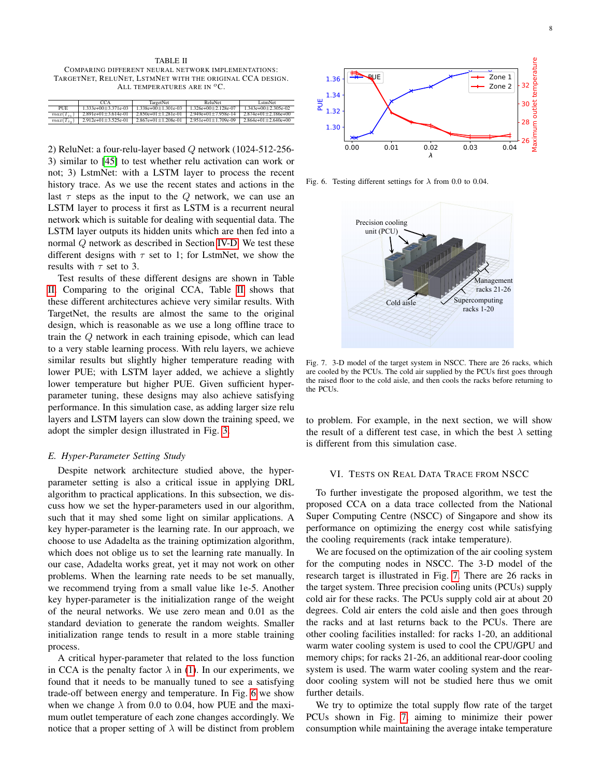<span id="page-7-1"></span>TABLE II COMPARING DIFFERENT NEURAL NETWORK IMPLEMENTATIONS: TARGETNET, RELUNET, LSTMNET WITH THE ORIGINAL CCA DESIGN. ALL TEMPERATURES ARE IN  ${}^oC$ .

|            | CCA <sub>1</sub>                           | TargetNet                 | ReluNet               | LstmNet               |
|------------|--------------------------------------------|---------------------------|-----------------------|-----------------------|
| <b>PUE</b> | $1.333e+00+3.371e-03$                      | $1.338e+00+1.301e-03$     | $1.326e+00+2.128e-07$ | $1.343e+00+2.305e-02$ |
|            | $max(T_{z_1})$   2.891e+01 $\pm$ 3.614e-01 | $2.850e+01+1.281e-01$     | $2.949e+01+7.958e-14$ | $2.874e+01+2.186e+00$ |
|            | $max(T_{z_2})$   2.912e+01±3.525e-01       | $2.867e+01 \pm 1.208e-01$ | $2.951e+01+1.709e-09$ | $2.864e+01+2.640e+00$ |

2) ReluNet: a four-relu-layer based Q network (1024-512-256- 3) similar to [\[45\]](#page-10-21) to test whether relu activation can work or not; 3) LstmNet: with a LSTM layer to process the recent history trace. As we use the recent states and actions in the last  $\tau$  steps as the input to the Q network, we can use an LSTM layer to process it first as LSTM is a recurrent neural network which is suitable for dealing with sequential data. The LSTM layer outputs its hidden units which are then fed into a normal Q network as described in Section [IV-D.](#page-4-2) We test these different designs with  $\tau$  set to 1; for LstmNet, we show the results with  $\tau$  set to 3.

Test results of these different designs are shown in Table [II.](#page-7-1) Comparing to the original CCA, Table [II](#page-7-1) shows that these different architectures achieve very similar results. With TargetNet, the results are almost the same to the original design, which is reasonable as we use a long offline trace to train the Q network in each training episode, which can lead to a very stable learning process. With relu layers, we achieve similar results but slightly higher temperature reading with lower PUE; with LSTM layer added, we achieve a slightly lower temperature but higher PUE. Given sufficient hyperparameter tuning, these designs may also achieve satisfying performance. In this simulation case, as adding larger size relu layers and LSTM layers can slow down the training speed, we adopt the simpler design illustrated in Fig. [3.](#page-4-1)

#### *E. Hyper-Parameter Setting Study*

Despite network architecture studied above, the hyperparameter setting is also a critical issue in applying DRL algorithm to practical applications. In this subsection, we discuss how we set the hyper-parameters used in our algorithm, such that it may shed some light on similar applications. A key hyper-parameter is the learning rate. In our approach, we choose to use Adadelta as the training optimization algorithm, which does not oblige us to set the learning rate manually. In our case, Adadelta works great, yet it may not work on other problems. When the learning rate needs to be set manually, we recommend trying from a small value like 1e-5. Another key hyper-parameter is the initialization range of the weight of the neural networks. We use zero mean and 0.01 as the standard deviation to generate the random weights. Smaller initialization range tends to result in a more stable training process.

A critical hyper-parameter that related to the loss function in CCA is the penalty factor  $\lambda$  in [\(1\)](#page-4-0). In our experiments, we found that it needs to be manually tuned to see a satisfying trade-off between energy and temperature. In Fig. [6](#page-7-2) we show when we change  $\lambda$  from 0.0 to 0.04, how PUE and the maximum outlet temperature of each zone changes accordingly. We notice that a proper setting of  $\lambda$  will be distinct from problem



Fig. 6. Testing different settings for  $\lambda$  from 0.0 to 0.04.

<span id="page-7-2"></span>

<span id="page-7-3"></span>Fig. 7. 3-D model of the target system in NSCC. There are 26 racks, which are cooled by the PCUs. The cold air supplied by the PCUs first goes through the raised floor to the cold aisle, and then cools the racks before returning to the PCUs.

to problem. For example, in the next section, we will show the result of a different test case, in which the best  $\lambda$  setting is different from this simulation case.

# VI. TESTS ON REAL DATA TRACE FROM NSCC

<span id="page-7-0"></span>To further investigate the proposed algorithm, we test the proposed CCA on a data trace collected from the National Super Computing Centre (NSCC) of Singapore and show its performance on optimizing the energy cost while satisfying the cooling requirements (rack intake temperature).

We are focused on the optimization of the air cooling system for the computing nodes in NSCC. The 3-D model of the research target is illustrated in Fig. [7.](#page-7-3) There are 26 racks in the target system. Three precision cooling units (PCUs) supply cold air for these racks. The PCUs supply cold air at about 20 degrees. Cold air enters the cold aisle and then goes through the racks and at last returns back to the PCUs. There are other cooling facilities installed: for racks 1-20, an additional warm water cooling system is used to cool the CPU/GPU and memory chips; for racks 21-26, an additional rear-door cooling system is used. The warm water cooling system and the reardoor cooling system will not be studied here thus we omit further details.

We try to optimize the total supply flow rate of the target PCUs shown in Fig. [7,](#page-7-3) aiming to minimize their power consumption while maintaining the average intake temperature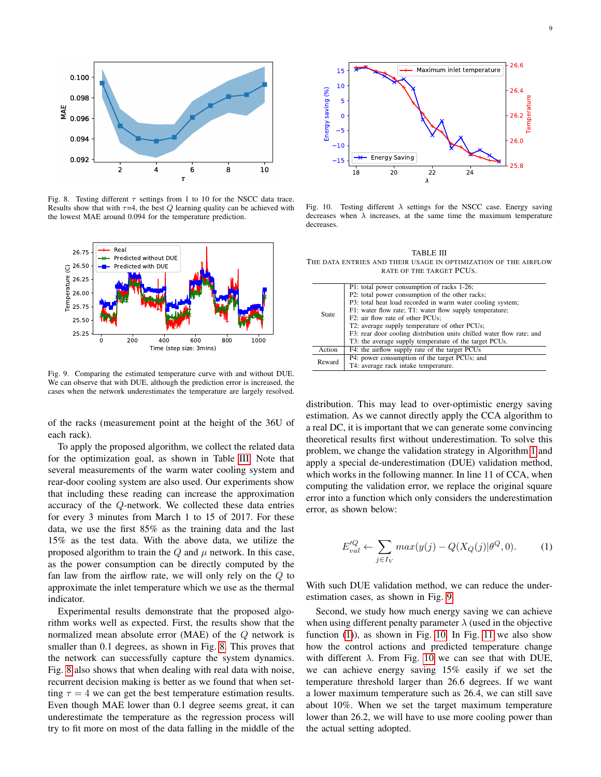

Fig. 8. Testing different  $\tau$  settings from 1 to 10 for the NSCC data trace. Results show that with  $\tau=4$ , the best Q learning quality can be achieved with the lowest MAE around 0.094 for the temperature prediction.



Fig. 9. Comparing the estimated temperature curve with and without DUE. We can observe that with DUE, although the prediction error is increased, the cases when the network underestimates the temperature are largely resolved.

of the racks (measurement point at the height of the 36U of each rack).

To apply the proposed algorithm, we collect the related data for the optimization goal, as shown in Table [III.](#page-8-0) Note that several measurements of the warm water cooling system and rear-door cooling system are also used. Our experiments show that including these reading can increase the approximation accuracy of the Q-network. We collected these data entries for every 3 minutes from March 1 to 15 of 2017. For these data, we use the first 85% as the training data and the last 15% as the test data. With the above data, we utilize the proposed algorithm to train the  $Q$  and  $\mu$  network. In this case, as the power consumption can be directly computed by the fan law from the airflow rate, we will only rely on the Q to approximate the inlet temperature which we use as the thermal indicator.

Experimental results demonstrate that the proposed algorithm works well as expected. First, the results show that the normalized mean absolute error (MAE) of the Q network is smaller than 0.1 degrees, as shown in Fig. [8.](#page-8-1) This proves that the network can successfully capture the system dynamics. Fig. [8](#page-8-1) also shows that when dealing with real data with noise, recurrent decision making is better as we found that when setting  $\tau = 4$  we can get the best temperature estimation results. Even though MAE lower than 0.1 degree seems great, it can underestimate the temperature as the regression process will try to fit more on most of the data falling in the middle of the



<span id="page-8-3"></span><span id="page-8-1"></span>Fig. 10. Testing different  $\lambda$  settings for the NSCC case. Energy saving decreases when  $\lambda$  increases, at the same time the maximum temperature decreases.

<span id="page-8-0"></span>TABLE III THE DATA ENTRIES AND THEIR USAGE IN OPTIMIZATION OF THE AIRFLOW RATE OF THE TARGET PCUS.

| State. | P1: total power consumption of racks 1-26;                            |  |  |  |
|--------|-----------------------------------------------------------------------|--|--|--|
|        | P2: total power consumption of the other racks;                       |  |  |  |
|        | P3: total heat load recorded in warm water cooling system;            |  |  |  |
|        | F1: water flow rate; T1: water flow supply temperature;               |  |  |  |
|        | F2: air flow rate of other PCUs;                                      |  |  |  |
|        | T2: average supply temperature of other PCUs;                         |  |  |  |
|        | F3: rear door cooling distribution units chilled water flow rate; and |  |  |  |
|        | T3: the average supply temperature of the target PCUs.                |  |  |  |
| Action | F4: the airflow supply rate of the target PCUs                        |  |  |  |
| Reward | P4: power consumption of the target PCUs; and                         |  |  |  |
|        | T4: average rack intake temperature.                                  |  |  |  |

<span id="page-8-2"></span>distribution. This may lead to over-optimistic energy saving estimation. As we cannot directly apply the CCA algorithm to a real DC, it is important that we can generate some convincing theoretical results first without underestimation. To solve this problem, we change the validation strategy in Algorithm [1](#page-5-0) and apply a special de-underestimation (DUE) validation method, which works in the following manner. In line 11 of CCA, when computing the validation error, we replace the original square error into a function which only considers the underestimation error, as shown below:

$$
E_{val}^{\prime Q} \leftarrow \sum_{j \in I_V} max(y(j) - Q(X_Q(j)|\theta^Q, 0). \tag{1}
$$

With such DUE validation method, we can reduce the underestimation cases, as shown in Fig. [9.](#page-8-2)

Second, we study how much energy saving we can achieve when using different penalty parameter  $\lambda$  (used in the objective function [\(1\)](#page-4-0)), as shown in Fig. [10.](#page-8-3) In Fig. [11](#page-9-23) we also show how the control actions and predicted temperature change with different  $\lambda$ . From Fig. [10](#page-8-3) we can see that with DUE, we can achieve energy saving 15% easily if we set the temperature threshold larger than 26.6 degrees. If we want a lower maximum temperature such as 26.4, we can still save about 10%. When we set the target maximum temperature lower than 26.2, we will have to use more cooling power than the actual setting adopted.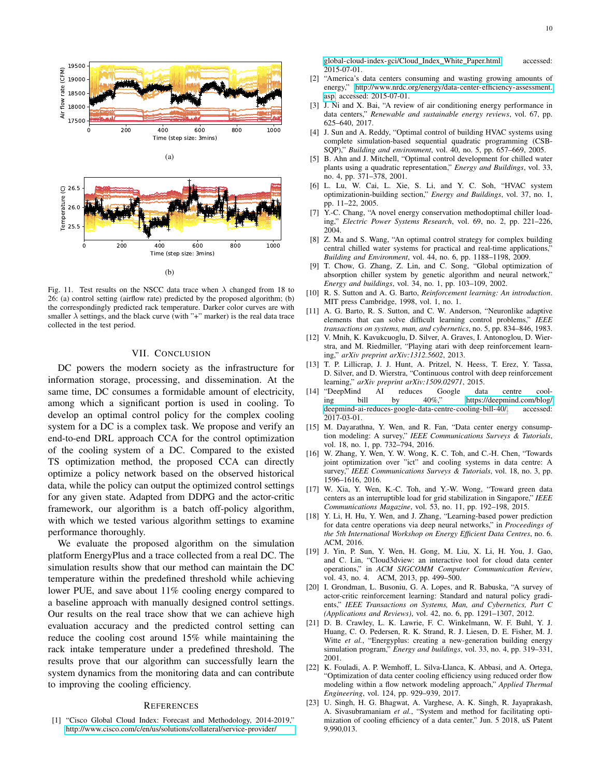



<span id="page-9-23"></span>Fig. 11. Test results on the NSCC data trace when  $\lambda$  changed from 18 to 26: (a) control setting (airflow rate) predicted by the proposed algorithm; (b) the correspondingly predicted rack temperature. Darker color curves are with smaller  $\lambda$  settings, and the black curve (with "+" marker) is the real data trace collected in the test period.

# VII. CONCLUSION

DC powers the modern society as the infrastructure for information storage, processing, and dissemination. At the same time, DC consumes a formidable amount of electricity, among which a significant portion is used in cooling. To develop an optimal control policy for the complex cooling system for a DC is a complex task. We propose and verify an end-to-end DRL approach CCA for the control optimization of the cooling system of a DC. Compared to the existed TS optimization method, the proposed CCA can directly optimize a policy network based on the observed historical data, while the policy can output the optimized control settings for any given state. Adapted from DDPG and the actor-critic framework, our algorithm is a batch off-policy algorithm, with which we tested various algorithm settings to examine performance thoroughly.

We evaluate the proposed algorithm on the simulation platform EnergyPlus and a trace collected from a real DC. The simulation results show that our method can maintain the DC temperature within the predefined threshold while achieving lower PUE, and save about 11% cooling energy compared to a baseline approach with manually designed control settings. Our results on the real trace show that we can achieve high evaluation accuracy and the predicted control setting can reduce the cooling cost around 15% while maintaining the rack intake temperature under a predefined threshold. The results prove that our algorithm can successfully learn the system dynamics from the monitoring data and can contribute to improving the cooling efficiency.

## **REFERENCES**

<span id="page-9-0"></span>[1] "Cisco Global Cloud Index: Forecast and Methodology, 2014-2019," [http://www.cisco.com/c/en/us/solutions/collateral/service-provider/](http://www.cisco.com/c/en/us/solutions/collateral/service-provider/global-cloud-index-gci/Cloud_Index_White_Paper.html)

[global-cloud-index-gci/Cloud](http://www.cisco.com/c/en/us/solutions/collateral/service-provider/global-cloud-index-gci/Cloud_Index_White_Paper.html) Index White Paper.html, accessed: 2015-07-01.

- <span id="page-9-1"></span>[2] "America's data centers consuming and wasting growing amounts of energy," [http://www.nrdc.org/energy/data-center-efficiency-assessment.](http://www.nrdc.org/energy/data-center-efficiency-assessment.asp) [asp,](http://www.nrdc.org/energy/data-center-efficiency-assessment.asp) accessed: 2015-07-01.
- <span id="page-9-2"></span>[3] J. Ni and X. Bai, "A review of air conditioning energy performance in data centers," *Renewable and sustainable energy reviews*, vol. 67, pp. 625–640, 2017.
- <span id="page-9-3"></span>[4] J. Sun and A. Reddy, "Optimal control of building HVAC systems using complete simulation-based sequential quadratic programming (CSB-SQP)," *Building and environment*, vol. 40, no. 5, pp. 657–669, 2005.
- <span id="page-9-18"></span>[5] B. Ahn and J. Mitchell, "Optimal control development for chilled water plants using a quadratic representation," *Energy and Buildings*, vol. 33, no. 4, pp. 371–378, 2001.
- <span id="page-9-19"></span>[6] L. Lu, W. Cai, L. Xie, S. Li, and Y. C. Soh, "HVAC system optimizationin-building section," *Energy and Buildings*, vol. 37, no. 1, pp. 11–22, 2005.
- <span id="page-9-20"></span>[7] Y.-C. Chang, "A novel energy conservation methodoptimal chiller loading," *Electric Power Systems Research*, vol. 69, no. 2, pp. 221–226, 2004.
- <span id="page-9-4"></span>[8] Z. Ma and S. Wang, "An optimal control strategy for complex building central chilled water systems for practical and real-time applications,' *Building and Environment*, vol. 44, no. 6, pp. 1188–1198, 2009.
- <span id="page-9-5"></span>[9] T. Chow, G. Zhang, Z. Lin, and C. Song, "Global optimization of absorption chiller system by genetic algorithm and neural network," *Energy and buildings*, vol. 34, no. 1, pp. 103–109, 2002.
- <span id="page-9-6"></span>[10] R. S. Sutton and A. G. Barto, *Reinforcement learning: An introduction*. MIT press Cambridge, 1998, vol. 1, no. 1.
- <span id="page-9-7"></span>[11] A. G. Barto, R. S. Sutton, and C. W. Anderson, "Neuronlike adaptive elements that can solve difficult learning control problems," *IEEE transactions on systems, man, and cybernetics*, no. 5, pp. 834–846, 1983.
- <span id="page-9-8"></span>[12] V. Mnih, K. Kavukcuoglu, D. Silver, A. Graves, I. Antonoglou, D. Wierstra, and M. Riedmiller, "Playing atari with deep reinforcement learning," *arXiv preprint arXiv:1312.5602*, 2013.
- <span id="page-9-9"></span>[13] T. P. Lillicrap, J. J. Hunt, A. Pritzel, N. Heess, T. Erez, Y. Tassa, D. Silver, and D. Wierstra, "Continuous control with deep reinforcement learning," *arXiv preprint arXiv:1509.02971*, 2015.
- <span id="page-9-10"></span>[14] "DeepMind AI reduces Google data centre cool-<br>ing bill by  $40\%$ " bttps://deepmind.com/blog/ ing bill by 40%," [https://deepmind.com/blog/](https://deepmind.com/blog/deepmind-ai-reduces-google-data-centre-cooling-bill-40/) [deepmind-ai-reduces-google-data-centre-cooling-bill-40/,](https://deepmind.com/blog/deepmind-ai-reduces-google-data-centre-cooling-bill-40/) accessed: 2017-03-01.
- <span id="page-9-11"></span>[15] M. Dayarathna, Y. Wen, and R. Fan, "Data center energy consumption modeling: A survey," *IEEE Communications Surveys & Tutorials*, vol. 18, no. 1, pp. 732–794, 2016.
- <span id="page-9-12"></span>[16] W. Zhang, Y. Wen, Y. W. Wong, K. C. Toh, and C.-H. Chen, "Towards joint optimization over "ict" and cooling systems in data centre: A survey," *IEEE Communications Surveys & Tutorials*, vol. 18, no. 3, pp. 1596–1616, 2016.
- <span id="page-9-13"></span>[17] W. Xia, Y. Wen, K.-C. Toh, and Y.-W. Wong, "Toward green data centers as an interruptible load for grid stabilization in Singapore," *IEEE Communications Magazine*, vol. 53, no. 11, pp. 192–198, 2015.
- <span id="page-9-14"></span>[18] Y. Li, H. Hu, Y. Wen, and J. Zhang, "Learning-based power prediction for data centre operations via deep neural networks," in *Proceedings of the 5th International Workshop on Energy Efficient Data Centres*, no. 6. ACM, 2016.
- <span id="page-9-15"></span>[19] J. Yin, P. Sun, Y. Wen, H. Gong, M. Liu, X. Li, H. You, J. Gao, and C. Lin, "Cloud3dview: an interactive tool for cloud data center operations," in *ACM SIGCOMM Computer Communication Review*, vol. 43, no. 4. ACM, 2013, pp. 499–500.
- <span id="page-9-16"></span>[20] I. Grondman, L. Busoniu, G. A. Lopes, and R. Babuska, "A survey of actor-critic reinforcement learning: Standard and natural policy gradients," *IEEE Transactions on Systems, Man, and Cybernetics, Part C (Applications and Reviews)*, vol. 42, no. 6, pp. 1291–1307, 2012.
- <span id="page-9-17"></span>[21] D. B. Crawley, L. K. Lawrie, F. C. Winkelmann, W. F. Buhl, Y. J. Huang, C. O. Pedersen, R. K. Strand, R. J. Liesen, D. E. Fisher, M. J. Witte *et al.*, "Energyplus: creating a new-generation building energy simulation program," *Energy and buildings*, vol. 33, no. 4, pp. 319–331, 2001.
- <span id="page-9-21"></span>[22] K. Fouladi, A. P. Wemhoff, L. Silva-Llanca, K. Abbasi, and A. Ortega, "Optimization of data center cooling efficiency using reduced order flow modeling within a flow network modeling approach," *Applied Thermal Engineering*, vol. 124, pp. 929–939, 2017.
- <span id="page-9-22"></span>[23] U. Singh, H. G. Bhagwat, A. Varghese, A. K. Singh, R. Jayaprakash, A. Sivasubramaniam *et al.*, "System and method for facilitating optimization of cooling efficiency of a data center," Jun. 5 2018, uS Patent 9,990,013.